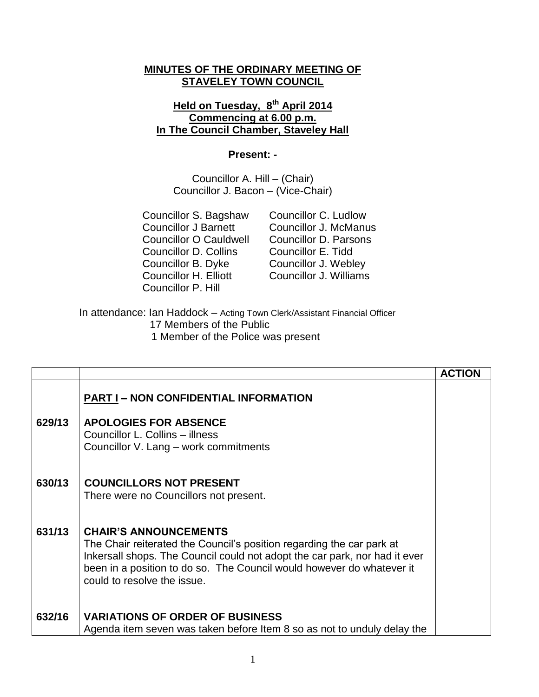## **MINUTES OF THE ORDINARY MEETING OF STAVELEY TOWN COUNCIL**

## **Held on Tuesday, 8 th April 2014 Commencing at 6.00 p.m. In The Council Chamber, Staveley Hall**

## **Present: -**

Councillor A. Hill – (Chair) Councillor J. Bacon – (Vice-Chair)

Councillor S. Bagshaw Councillor C. Ludlow Councillor O Cauldwell Councillor D. Parsons Councillor D. Collins Councillor E. Tidd Councillor B. Dyke Councillor J. Webley Councillor H. Elliott Councillor J. Williams Councillor P. Hill

Councillor J Barnett Councillor J. McManus

In attendance: Ian Haddock – Acting Town Clerk/Assistant Financial Officer 17 Members of the Public 1 Member of the Police was present

|        |                                                                                                                                                                                                                                                                                             | <b>ACTION</b> |
|--------|---------------------------------------------------------------------------------------------------------------------------------------------------------------------------------------------------------------------------------------------------------------------------------------------|---------------|
|        | <b>PART I – NON CONFIDENTIAL INFORMATION</b>                                                                                                                                                                                                                                                |               |
| 629/13 | <b>APOLOGIES FOR ABSENCE</b><br>Councillor L. Collins - illness<br>Councillor V. Lang - work commitments                                                                                                                                                                                    |               |
| 630/13 | <b>COUNCILLORS NOT PRESENT</b><br>There were no Councillors not present.                                                                                                                                                                                                                    |               |
| 631/13 | <b>CHAIR'S ANNOUNCEMENTS</b><br>The Chair reiterated the Council's position regarding the car park at<br>Inkersall shops. The Council could not adopt the car park, nor had it ever<br>been in a position to do so. The Council would however do whatever it<br>could to resolve the issue. |               |
| 632/16 | <b>VARIATIONS OF ORDER OF BUSINESS</b><br>Agenda item seven was taken before Item 8 so as not to unduly delay the                                                                                                                                                                           |               |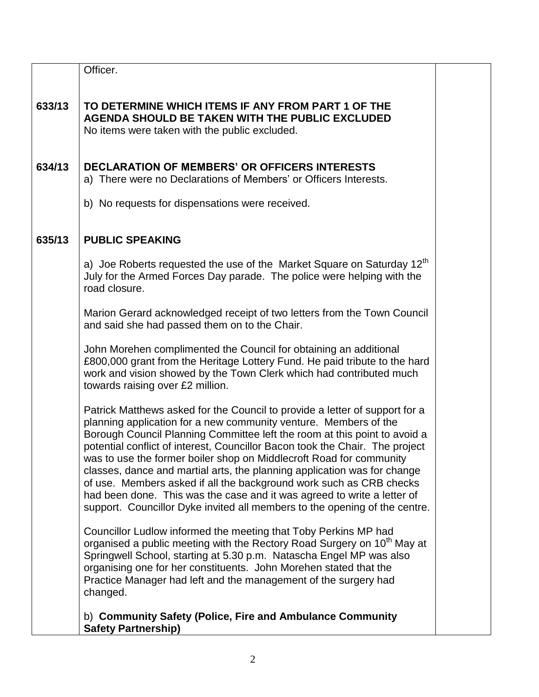|        | Officer.                                                                                                                                                                                                                                                                                                                                                                                                                                                                                                                                                                                                                                                                                        |  |
|--------|-------------------------------------------------------------------------------------------------------------------------------------------------------------------------------------------------------------------------------------------------------------------------------------------------------------------------------------------------------------------------------------------------------------------------------------------------------------------------------------------------------------------------------------------------------------------------------------------------------------------------------------------------------------------------------------------------|--|
| 633/13 | TO DETERMINE WHICH ITEMS IF ANY FROM PART 1 OF THE<br><b>AGENDA SHOULD BE TAKEN WITH THE PUBLIC EXCLUDED</b><br>No items were taken with the public excluded.                                                                                                                                                                                                                                                                                                                                                                                                                                                                                                                                   |  |
| 634/13 | <b>DECLARATION OF MEMBERS' OR OFFICERS INTERESTS</b><br>a) There were no Declarations of Members' or Officers Interests.                                                                                                                                                                                                                                                                                                                                                                                                                                                                                                                                                                        |  |
|        | b) No requests for dispensations were received.                                                                                                                                                                                                                                                                                                                                                                                                                                                                                                                                                                                                                                                 |  |
| 635/13 | <b>PUBLIC SPEAKING</b>                                                                                                                                                                                                                                                                                                                                                                                                                                                                                                                                                                                                                                                                          |  |
|        | a) Joe Roberts requested the use of the Market Square on Saturday $12th$<br>July for the Armed Forces Day parade. The police were helping with the<br>road closure.                                                                                                                                                                                                                                                                                                                                                                                                                                                                                                                             |  |
|        | Marion Gerard acknowledged receipt of two letters from the Town Council<br>and said she had passed them on to the Chair.                                                                                                                                                                                                                                                                                                                                                                                                                                                                                                                                                                        |  |
|        | John Morehen complimented the Council for obtaining an additional<br>£800,000 grant from the Heritage Lottery Fund. He paid tribute to the hard<br>work and vision showed by the Town Clerk which had contributed much<br>towards raising over £2 million.                                                                                                                                                                                                                                                                                                                                                                                                                                      |  |
|        | Patrick Matthews asked for the Council to provide a letter of support for a<br>planning application for a new community venture. Members of the<br>Borough Council Planning Committee left the room at this point to avoid a<br>potential conflict of interest, Councillor Bacon took the Chair. The project<br>was to use the former boiler shop on Middlecroft Road for community<br>classes, dance and martial arts, the planning application was for change<br>of use. Members asked if all the background work such as CRB checks<br>had been done. This was the case and it was agreed to write a letter of<br>support. Councillor Dyke invited all members to the opening of the centre. |  |
|        | Councillor Ludlow informed the meeting that Toby Perkins MP had<br>organised a public meeting with the Rectory Road Surgery on 10 <sup>th</sup> May at<br>Springwell School, starting at 5.30 p.m. Natascha Engel MP was also<br>organising one for her constituents. John Morehen stated that the<br>Practice Manager had left and the management of the surgery had<br>changed.                                                                                                                                                                                                                                                                                                               |  |
|        | b) Community Safety (Police, Fire and Ambulance Community<br><b>Safety Partnership)</b>                                                                                                                                                                                                                                                                                                                                                                                                                                                                                                                                                                                                         |  |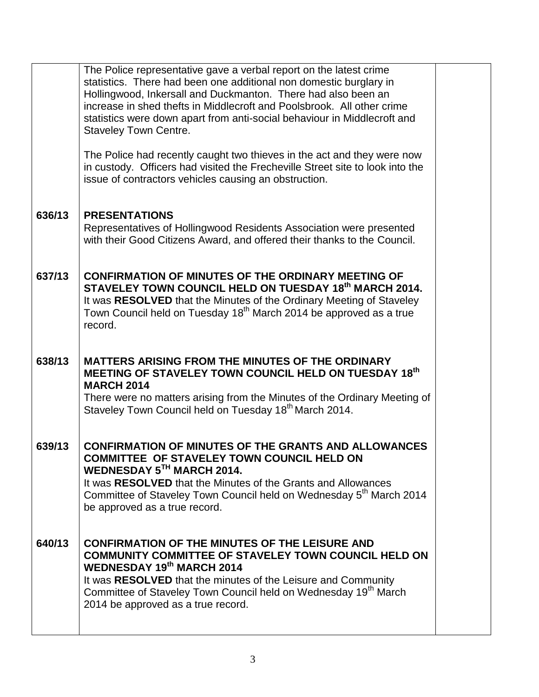|        | The Police representative gave a verbal report on the latest crime              |  |
|--------|---------------------------------------------------------------------------------|--|
|        | statistics. There had been one additional non domestic burglary in              |  |
|        | Hollingwood, Inkersall and Duckmanton. There had also been an                   |  |
|        | increase in shed thefts in Middlecroft and Poolsbrook. All other crime          |  |
|        |                                                                                 |  |
|        | statistics were down apart from anti-social behaviour in Middlecroft and        |  |
|        | <b>Staveley Town Centre.</b>                                                    |  |
|        |                                                                                 |  |
|        | The Police had recently caught two thieves in the act and they were now         |  |
|        | in custody. Officers had visited the Frecheville Street site to look into the   |  |
|        |                                                                                 |  |
|        | issue of contractors vehicles causing an obstruction.                           |  |
|        |                                                                                 |  |
|        |                                                                                 |  |
| 636/13 | <b>PRESENTATIONS</b>                                                            |  |
|        | Representatives of Hollingwood Residents Association were presented             |  |
|        | with their Good Citizens Award, and offered their thanks to the Council.        |  |
|        |                                                                                 |  |
|        |                                                                                 |  |
| 637/13 | <b>CONFIRMATION OF MINUTES OF THE ORDINARY MEETING OF</b>                       |  |
|        | STAVELEY TOWN COUNCIL HELD ON TUESDAY 18th MARCH 2014.                          |  |
|        |                                                                                 |  |
|        | It was RESOLVED that the Minutes of the Ordinary Meeting of Staveley            |  |
|        | Town Council held on Tuesday 18 <sup>th</sup> March 2014 be approved as a true  |  |
|        | record.                                                                         |  |
|        |                                                                                 |  |
|        |                                                                                 |  |
| 638/13 | <b>MATTERS ARISING FROM THE MINUTES OF THE ORDINARY</b>                         |  |
|        |                                                                                 |  |
|        |                                                                                 |  |
|        | MEETING OF STAVELEY TOWN COUNCIL HELD ON TUESDAY 18th                           |  |
|        | <b>MARCH 2014</b>                                                               |  |
|        | There were no matters arising from the Minutes of the Ordinary Meeting of       |  |
|        | Staveley Town Council held on Tuesday 18 <sup>th</sup> March 2014.              |  |
|        |                                                                                 |  |
|        |                                                                                 |  |
| 639/13 | <b>CONFIRMATION OF MINUTES OF THE GRANTS AND ALLOWANCES</b>                     |  |
|        | COMMITTEE OF STAVELEY TOWN COUNCIL HELD ON                                      |  |
|        |                                                                                 |  |
|        | WEDNESDAY 5TH MARCH 2014.                                                       |  |
|        | It was RESOLVED that the Minutes of the Grants and Allowances                   |  |
|        | Committee of Staveley Town Council held on Wednesday 5 <sup>th</sup> March 2014 |  |
|        | be approved as a true record.                                                   |  |
|        |                                                                                 |  |
|        |                                                                                 |  |
| 640/13 | <b>CONFIRMATION OF THE MINUTES OF THE LEISURE AND</b>                           |  |
|        | <b>COMMUNITY COMMITTEE OF STAVELEY TOWN COUNCIL HELD ON</b>                     |  |
|        | <b>WEDNESDAY 19th MARCH 2014</b>                                                |  |
|        |                                                                                 |  |
|        | It was RESOLVED that the minutes of the Leisure and Community                   |  |
|        | Committee of Staveley Town Council held on Wednesday 19 <sup>th</sup> March     |  |
|        | 2014 be approved as a true record.                                              |  |
|        |                                                                                 |  |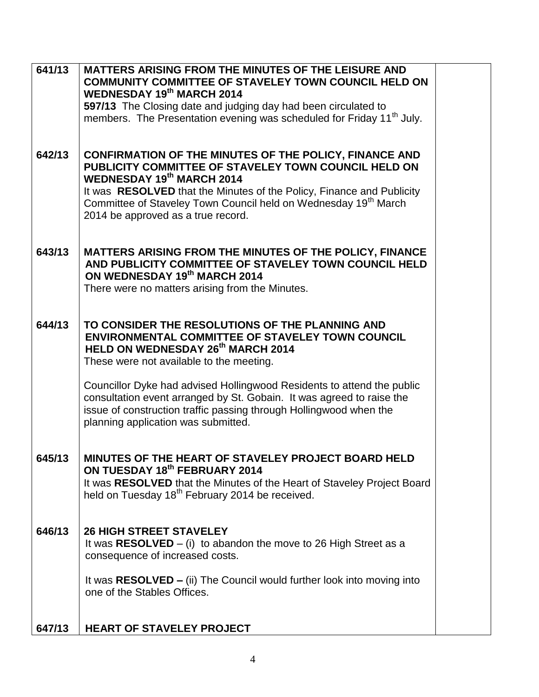| 641/13 | <b>MATTERS ARISING FROM THE MINUTES OF THE LEISURE AND</b>                                              |  |
|--------|---------------------------------------------------------------------------------------------------------|--|
|        | COMMUNITY COMMITTEE OF STAVELEY TOWN COUNCIL HELD ON                                                    |  |
|        | <b>WEDNESDAY 19th MARCH 2014</b><br>597/13 The Closing date and judging day had been circulated to      |  |
|        | members. The Presentation evening was scheduled for Friday 11 <sup>th</sup> July.                       |  |
|        |                                                                                                         |  |
|        |                                                                                                         |  |
| 642/13 | <b>CONFIRMATION OF THE MINUTES OF THE POLICY, FINANCE AND</b>                                           |  |
|        | PUBLICITY COMMITTEE OF STAVELEY TOWN COUNCIL HELD ON<br><b>WEDNESDAY 19th MARCH 2014</b>                |  |
|        | It was RESOLVED that the Minutes of the Policy, Finance and Publicity                                   |  |
|        | Committee of Staveley Town Council held on Wednesday 19 <sup>th</sup> March                             |  |
|        | 2014 be approved as a true record.                                                                      |  |
|        |                                                                                                         |  |
| 643/13 | <b>MATTERS ARISING FROM THE MINUTES OF THE POLICY, FINANCE</b>                                          |  |
|        | AND PUBLICITY COMMITTEE OF STAVELEY TOWN COUNCIL HELD                                                   |  |
|        | ON WEDNESDAY 19th MARCH 2014                                                                            |  |
|        | There were no matters arising from the Minutes.                                                         |  |
|        |                                                                                                         |  |
| 644/13 | TO CONSIDER THE RESOLUTIONS OF THE PLANNING AND                                                         |  |
|        | <b>ENVIRONMENTAL COMMITTEE OF STAVELEY TOWN COUNCIL</b>                                                 |  |
|        | <b>HELD ON WEDNESDAY 26th MARCH 2014</b>                                                                |  |
|        | These were not available to the meeting.                                                                |  |
|        | Councillor Dyke had advised Hollingwood Residents to attend the public                                  |  |
|        | consultation event arranged by St. Gobain. It was agreed to raise the                                   |  |
|        | issue of construction traffic passing through Hollingwood when the                                      |  |
|        | planning application was submitted.                                                                     |  |
|        |                                                                                                         |  |
| 645/13 | MINUTES OF THE HEART OF STAVELEY PROJECT BOARD HELD                                                     |  |
|        | ON TUESDAY 18th FEBRUARY 2014                                                                           |  |
|        | It was RESOLVED that the Minutes of the Heart of Staveley Project Board                                 |  |
|        | held on Tuesday 18 <sup>th</sup> February 2014 be received.                                             |  |
|        |                                                                                                         |  |
| 646/13 | <b>26 HIGH STREET STAVELEY</b>                                                                          |  |
|        | It was $RESOLVED - (i)$ to abandon the move to 26 High Street as a                                      |  |
|        | consequence of increased costs.                                                                         |  |
|        |                                                                                                         |  |
|        | It was $RESOLVED - (ii)$ The Council would further look into moving into<br>one of the Stables Offices. |  |
|        |                                                                                                         |  |
|        |                                                                                                         |  |
| 647/13 | <b>HEART OF STAVELEY PROJECT</b>                                                                        |  |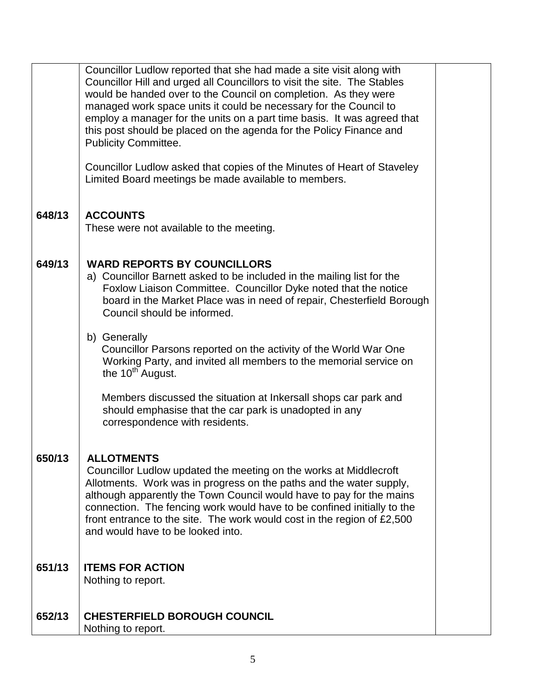|        | Councillor Ludlow reported that she had made a site visit along with<br>Councillor Hill and urged all Councillors to visit the site. The Stables<br>would be handed over to the Council on completion. As they were<br>managed work space units it could be necessary for the Council to<br>employ a manager for the units on a part time basis. It was agreed that<br>this post should be placed on the agenda for the Policy Finance and<br><b>Publicity Committee.</b><br>Councillor Ludlow asked that copies of the Minutes of Heart of Staveley<br>Limited Board meetings be made available to members. |  |
|--------|--------------------------------------------------------------------------------------------------------------------------------------------------------------------------------------------------------------------------------------------------------------------------------------------------------------------------------------------------------------------------------------------------------------------------------------------------------------------------------------------------------------------------------------------------------------------------------------------------------------|--|
| 648/13 | <b>ACCOUNTS</b><br>These were not available to the meeting.                                                                                                                                                                                                                                                                                                                                                                                                                                                                                                                                                  |  |
| 649/13 | <b>WARD REPORTS BY COUNCILLORS</b><br>a) Councillor Barnett asked to be included in the mailing list for the<br>Foxlow Liaison Committee. Councillor Dyke noted that the notice<br>board in the Market Place was in need of repair, Chesterfield Borough<br>Council should be informed.                                                                                                                                                                                                                                                                                                                      |  |
|        | b) Generally<br>Councillor Parsons reported on the activity of the World War One<br>Working Party, and invited all members to the memorial service on<br>the 10 <sup>th</sup> August.                                                                                                                                                                                                                                                                                                                                                                                                                        |  |
|        | Members discussed the situation at Inkersall shops car park and<br>should emphasise that the car park is unadopted in any<br>correspondence with residents.                                                                                                                                                                                                                                                                                                                                                                                                                                                  |  |
| 650/13 | <b>ALLOTMENTS</b><br>Councillor Ludlow updated the meeting on the works at Middlecroft<br>Allotments. Work was in progress on the paths and the water supply,<br>although apparently the Town Council would have to pay for the mains<br>connection. The fencing work would have to be confined initially to the<br>front entrance to the site. The work would cost in the region of £2,500<br>and would have to be looked into.                                                                                                                                                                             |  |
| 651/13 | <b>ITEMS FOR ACTION</b><br>Nothing to report.                                                                                                                                                                                                                                                                                                                                                                                                                                                                                                                                                                |  |
| 652/13 | <b>CHESTERFIELD BOROUGH COUNCIL</b><br>Nothing to report.                                                                                                                                                                                                                                                                                                                                                                                                                                                                                                                                                    |  |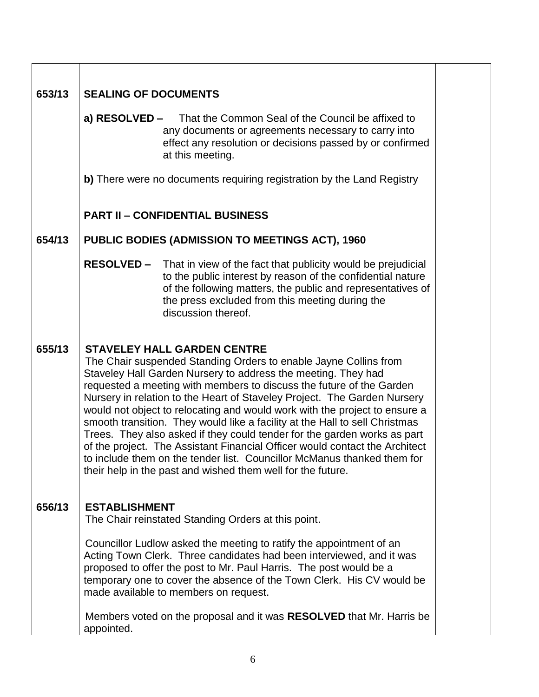| 653/13 | <b>SEALING OF DOCUMENTS</b>                                                                                                                                                                                                                                                                                                                                                                                                                                                                                                                                                                                                                                                                                                                                                                   |
|--------|-----------------------------------------------------------------------------------------------------------------------------------------------------------------------------------------------------------------------------------------------------------------------------------------------------------------------------------------------------------------------------------------------------------------------------------------------------------------------------------------------------------------------------------------------------------------------------------------------------------------------------------------------------------------------------------------------------------------------------------------------------------------------------------------------|
|        | a) RESOLVED - That the Common Seal of the Council be affixed to<br>any documents or agreements necessary to carry into<br>effect any resolution or decisions passed by or confirmed<br>at this meeting.                                                                                                                                                                                                                                                                                                                                                                                                                                                                                                                                                                                       |
|        | b) There were no documents requiring registration by the Land Registry                                                                                                                                                                                                                                                                                                                                                                                                                                                                                                                                                                                                                                                                                                                        |
|        | <b>PART II - CONFIDENTIAL BUSINESS</b>                                                                                                                                                                                                                                                                                                                                                                                                                                                                                                                                                                                                                                                                                                                                                        |
| 654/13 | PUBLIC BODIES (ADMISSION TO MEETINGS ACT), 1960                                                                                                                                                                                                                                                                                                                                                                                                                                                                                                                                                                                                                                                                                                                                               |
|        | <b>RESOLVED -</b> That in view of the fact that publicity would be prejudicial<br>to the public interest by reason of the confidential nature<br>of the following matters, the public and representatives of<br>the press excluded from this meeting during the<br>discussion thereof.                                                                                                                                                                                                                                                                                                                                                                                                                                                                                                        |
| 655/13 | <b>STAVELEY HALL GARDEN CENTRE</b><br>The Chair suspended Standing Orders to enable Jayne Collins from<br>Staveley Hall Garden Nursery to address the meeting. They had<br>requested a meeting with members to discuss the future of the Garden<br>Nursery in relation to the Heart of Staveley Project. The Garden Nursery<br>would not object to relocating and would work with the project to ensure a<br>smooth transition. They would like a facility at the Hall to sell Christmas<br>Trees. They also asked if they could tender for the garden works as part<br>of the project. The Assistant Financial Officer would contact the Architect<br>to include them on the tender list. Councillor McManus thanked them for<br>their help in the past and wished them well for the future. |
| 656/13 | <b>ESTABLISHMENT</b><br>The Chair reinstated Standing Orders at this point.                                                                                                                                                                                                                                                                                                                                                                                                                                                                                                                                                                                                                                                                                                                   |
|        | Councillor Ludlow asked the meeting to ratify the appointment of an<br>Acting Town Clerk. Three candidates had been interviewed, and it was<br>proposed to offer the post to Mr. Paul Harris. The post would be a<br>temporary one to cover the absence of the Town Clerk. His CV would be<br>made available to members on request.                                                                                                                                                                                                                                                                                                                                                                                                                                                           |
|        | Members voted on the proposal and it was RESOLVED that Mr. Harris be<br>appointed.                                                                                                                                                                                                                                                                                                                                                                                                                                                                                                                                                                                                                                                                                                            |